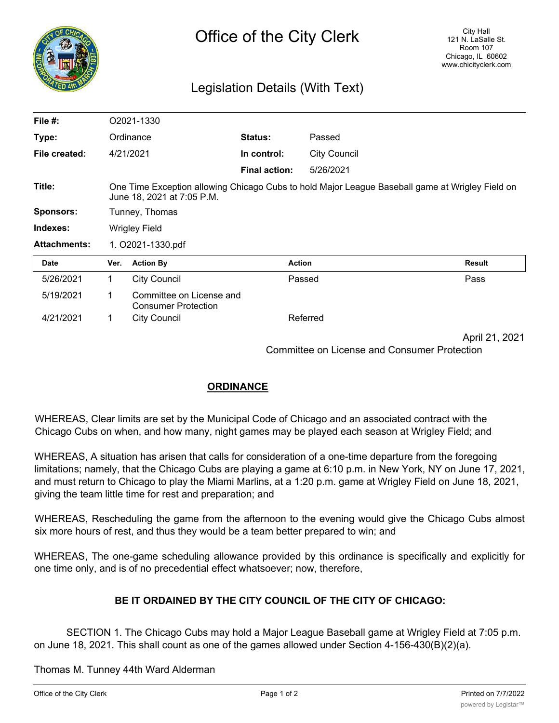

## Legislation Details (With Text)

| File #:             |                                                                                                                               | O2021-1330                                             |                      |                     |                |
|---------------------|-------------------------------------------------------------------------------------------------------------------------------|--------------------------------------------------------|----------------------|---------------------|----------------|
| Type:               |                                                                                                                               | Ordinance                                              | Status:              | Passed              |                |
| File created:       |                                                                                                                               | 4/21/2021                                              | In control:          | <b>City Council</b> |                |
|                     |                                                                                                                               |                                                        | <b>Final action:</b> | 5/26/2021           |                |
| Title:              | One Time Exception allowing Chicago Cubs to hold Major League Baseball game at Wrigley Field on<br>June 18, 2021 at 7:05 P.M. |                                                        |                      |                     |                |
| <b>Sponsors:</b>    | Tunney, Thomas                                                                                                                |                                                        |                      |                     |                |
| Indexes:            | <b>Wrigley Field</b>                                                                                                          |                                                        |                      |                     |                |
| <b>Attachments:</b> | 1. O2021-1330.pdf                                                                                                             |                                                        |                      |                     |                |
| Date                | Ver.                                                                                                                          | <b>Action By</b>                                       | <b>Action</b>        |                     | <b>Result</b>  |
| 5/26/2021           | $\mathbf{1}$                                                                                                                  | <b>City Council</b>                                    |                      | Passed              | Pass           |
| 5/19/2021           | 1                                                                                                                             | Committee on License and<br><b>Consumer Protection</b> |                      |                     |                |
| 4/21/2021           | 1                                                                                                                             | <b>City Council</b>                                    |                      | Referred            |                |
|                     |                                                                                                                               |                                                        |                      |                     | April 21, 2021 |
|                     | <b>Committee on License and Consumer Protection</b>                                                                           |                                                        |                      |                     |                |

## **ORDINANCE**

WHEREAS, Clear limits are set by the Municipal Code of Chicago and an associated contract with the Chicago Cubs on when, and how many, night games may be played each season at Wrigley Field; and

WHEREAS, A situation has arisen that calls for consideration of a one-time departure from the foregoing limitations; namely, that the Chicago Cubs are playing a game at 6:10 p.m. in New York, NY on June 17, 2021, and must return to Chicago to play the Miami Marlins, at a 1:20 p.m. game at Wrigley Field on June 18, 2021, giving the team little time for rest and preparation; and

WHEREAS, Rescheduling the game from the afternoon to the evening would give the Chicago Cubs almost six more hours of rest, and thus they would be a team better prepared to win; and

WHEREAS, The one-game scheduling allowance provided by this ordinance is specifically and explicitly for one time only, and is of no precedential effect whatsoever; now, therefore,

## **BE IT ORDAINED BY THE CITY COUNCIL OF THE CITY OF CHICAGO:**

SECTION 1. The Chicago Cubs may hold a Major League Baseball game at Wrigley Field at 7:05 p.m. on June 18, 2021. This shall count as one of the games allowed under Section 4-156-430(B)(2)(a).

Thomas M. Tunney 44th Ward Alderman